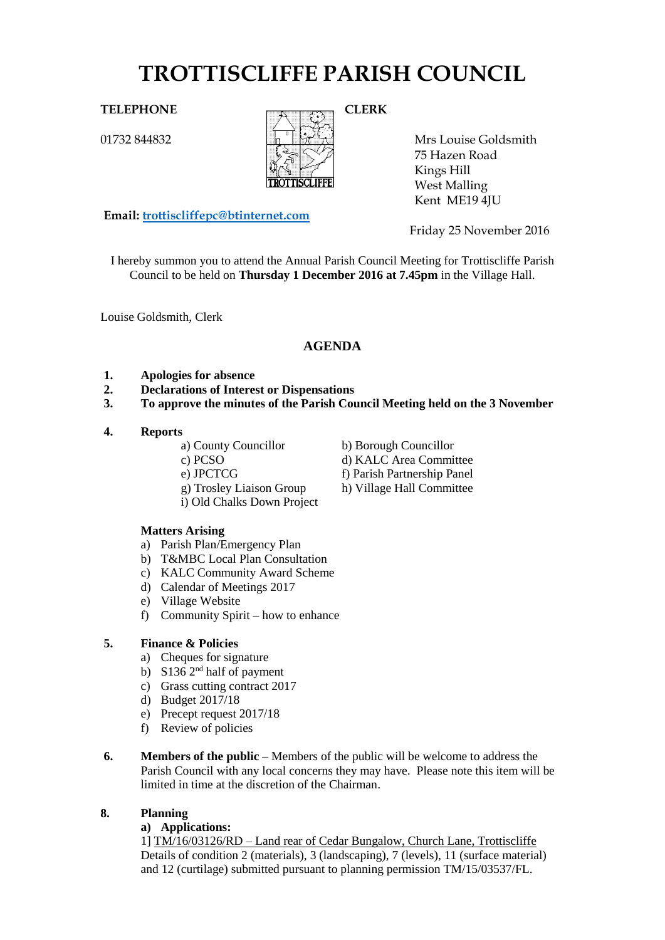# **TROTTISCLIFFE PARISH COUNCIL**

## TELEPHONE CLERK

01732 844832



Mrs Louise Goldsmith 75 Hazen Road Kings Hill West Malling Kent ME19 4JU

**Email: [trottiscliffepc@btinternet.com](mailto:trottiscliffepc@btinternet.com)**

Friday 25 November 2016

I hereby summon you to attend the Annual Parish Council Meeting for Trottiscliffe Parish Council to be held on **Thursday 1 December 2016 at 7.45pm** in the Village Hall.

Louise Goldsmith, Clerk

# **AGENDA**

- **1. Apologies for absence**
- **2. Declarations of Interest or Dispensations**
- **3. To approve the minutes of the Parish Council Meeting held on the 3 November**

#### **4. Reports**

- a) County Councillor b) Borough Councillor
- -
	- g) Trosley Liaison Group h) Village Hall Committee
	- i) Old Chalks Down Project

#### **Matters Arising**

- a) Parish Plan/Emergency Plan
- b) T&MBC Local Plan Consultation
- c) KALC Community Award Scheme
- d) Calendar of Meetings 2017
- e) Village Website
- f) Community Spirit how to enhance

#### **5. Finance & Policies**

- a) Cheques for signature
- b) S136  $2<sup>nd</sup>$  half of payment
- c) Grass cutting contract 2017
- d) Budget 2017/18
- e) Precept request 2017/18
- f) Review of policies
- **6. Members of the public** Members of the public will be welcome to address the Parish Council with any local concerns they may have. Please note this item will be limited in time at the discretion of the Chairman.

#### **8. Planning**

#### **a) Applications:**

1] TM/16/03126/RD – Land rear of Cedar Bungalow, Church Lane, Trottiscliffe Details of condition 2 (materials), 3 (landscaping), 7 (levels), 11 (surface material) and 12 (curtilage) submitted pursuant to planning permission TM/15/03537/FL.

- c) PCSO d) KALC Area Committee
- e) JPCTCG f) Parish Partnership Panel
	-